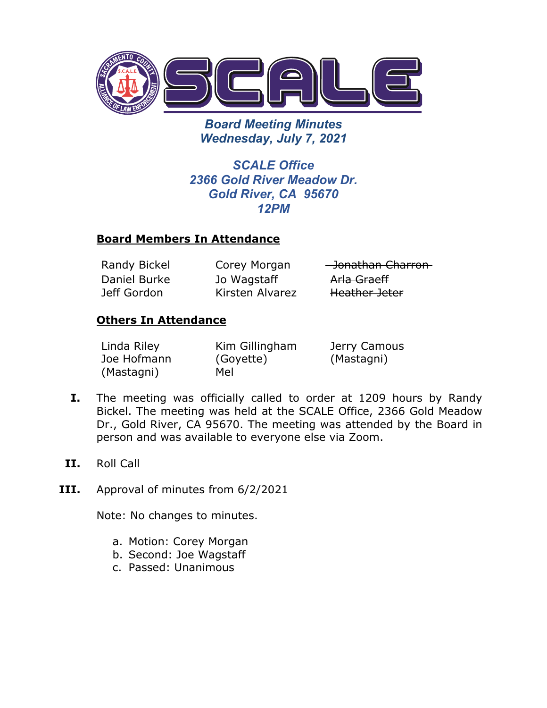

*Board Meeting Minutes Wednesday, July 7, 2021*

*SCALE Office 2366 Gold River Meadow Dr. Gold River, CA 95670 12PM*

### **Board Members In Attendance**

Daniel Burke Jeff Gordon

Jo Wagstaff Kirsten Alvarez

Randy Bickel Corey Morgan - Jonathan Charron-Arla Graeff Heather Jeter

### **Others In Attendance**

| Linda Riley | Kim Gillingham | Jerry Camous |
|-------------|----------------|--------------|
| Joe Hofmann | (Goyette)      | (Mastagni)   |
| (Mastagni)  | Mel            |              |

- **I.** The meeting was officially called to order at 1209 hours by Randy Bickel. The meeting was held at the SCALE Office, 2366 Gold Meadow Dr., Gold River, CA 95670. The meeting was attended by the Board in person and was available to everyone else via Zoom.
- **II.** Roll Call
- **III.** Approval of minutes from 6/2/2021

Note: No changes to minutes.

- a. Motion: Corey Morgan
- b. Second: Joe Wagstaff
- c. Passed: Unanimous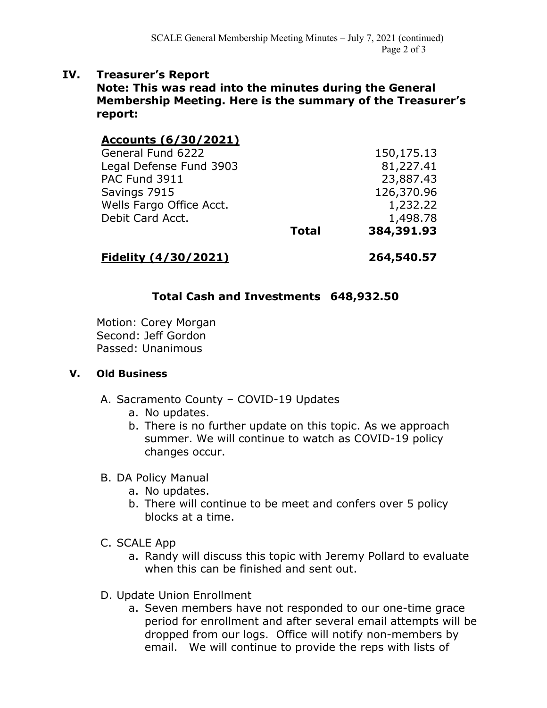## **IV. Treasurer's Report**

**Note: This was read into the minutes during the General Membership Meeting. Here is the summary of the Treasurer's report:**

| <b>Accounts (6/30/2021)</b> |              |            |
|-----------------------------|--------------|------------|
| General Fund 6222           |              | 150,175.13 |
| Legal Defense Fund 3903     |              | 81,227.41  |
| PAC Fund 3911               |              | 23,887.43  |
| Savings 7915                |              | 126,370.96 |
| Wells Fargo Office Acct.    |              | 1,232.22   |
| Debit Card Acct.            |              | 1,498.78   |
|                             | <b>Total</b> | 384,391.93 |

# **Fidelity (4/30/2021) 264,540.57**

## **Total Cash and Investments 648,932.50**

Motion: Corey Morgan Second: Jeff Gordon Passed: Unanimous

### **V. Old Business**

- A. Sacramento County COVID-19 Updates
	- a. No updates.
	- b. There is no further update on this topic. As we approach summer. We will continue to watch as COVID-19 policy changes occur.
- B. DA Policy Manual
	- a. No updates.
	- b. There will continue to be meet and confers over 5 policy blocks at a time.
- C. SCALE App
	- a. Randy will discuss this topic with Jeremy Pollard to evaluate when this can be finished and sent out.
- D. Update Union Enrollment
	- a. Seven members have not responded to our one-time grace period for enrollment and after several email attempts will be dropped from our logs. Office will notify non-members by email. We will continue to provide the reps with lists of